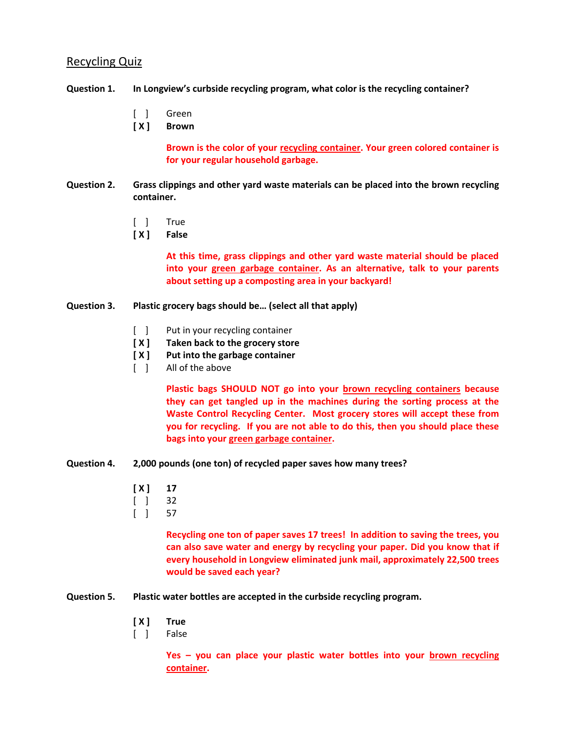## Recycling Quiz

### **Question 1. In Longview's curbside recycling program, what color is the recycling container?**

- [ ] Green
- **[ X ] Brown**

**Brown is the color of your recycling container. Your green colored container is for your regular household garbage.**

- **Question 2. Grass clippings and other yard waste materials can be placed into the brown recycling container.**
	- [ ] True
	- **[ X ] False**

**At this time, grass clippings and other yard waste material should be placed into your green garbage container. As an alternative, talk to your parents about setting up a composting area in your backyard!**

#### **Question 3. Plastic grocery bags should be… (select all that apply)**

- [ ] Put in your recycling container
- **[ X ] Taken back to the grocery store**
- **[ X ] Put into the garbage container**
- [ ] All of the above

**Plastic bags SHOULD NOT go into your brown recycling containers because they can get tangled up in the machines during the sorting process at the Waste Control Recycling Center. Most grocery stores will accept these from you for recycling. If you are not able to do this, then you should place these bags into your green garbage container.**

- **Question 4. 2,000 pounds (one ton) of recycled paper saves how many trees?**
	- $[X]$  17
	- [ ] 32
	- [ ] 57

**Recycling one ton of paper saves 17 trees! In addition to saving the trees, you can also save water and energy by recycling your paper. Did you know that if every household in Longview eliminated junk mail, approximately 22,500 trees would be saved each year?**

- **Question 5. Plastic water bottles are accepted in the curbside recycling program.**
	- **[ X ] True**
	- [ ] False

**Yes – you can place your plastic water bottles into your brown recycling container.**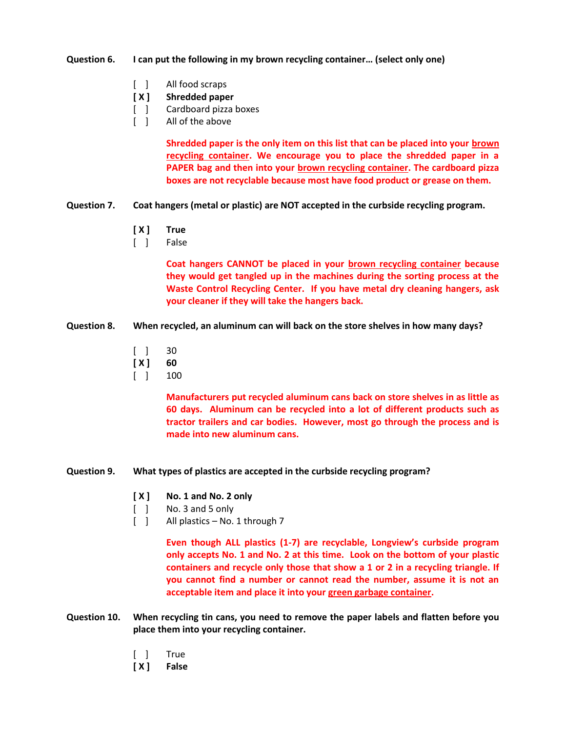#### **Question 6. I can put the following in my brown recycling container… (select only one)**

- [ ] All food scraps
- **[ X ] Shredded paper**
- [ ] Cardboard pizza boxes
- [ ] All of the above

**Shredded paper is the only item on this list that can be placed into your brown recycling container. We encourage you to place the shredded paper in a PAPER bag and then into your brown recycling container. The cardboard pizza boxes are not recyclable because most have food product or grease on them.** 

- **Question 7. Coat hangers (metal or plastic) are NOT accepted in the curbside recycling program.**
	- **[ X ] True**
	- [ ] False

**Coat hangers CANNOT be placed in your brown recycling container because they would get tangled up in the machines during the sorting process at the Waste Control Recycling Center. If you have metal dry cleaning hangers, ask your cleaner if they will take the hangers back.**

- **Question 8. When recycled, an aluminum can will back on the store shelves in how many days?**
	- [ ] 30
	- **[ X ] 60**
	- [ ] 100

**Manufacturers put recycled aluminum cans back on store shelves in as little as 60 days. Aluminum can be recycled into a lot of different products such as tractor trailers and car bodies. However, most go through the process and is made into new aluminum cans.**

- **Question 9. What types of plastics are accepted in the curbside recycling program?**
	- **[ X ] No. 1 and No. 2 only**
	- [ ] No. 3 and 5 only
	- [ ] All plastics No. 1 through 7

**Even though ALL plastics (1-7) are recyclable, Longview's curbside program only accepts No. 1 and No. 2 at this time. Look on the bottom of your plastic containers and recycle only those that show a 1 or 2 in a recycling triangle. If you cannot find a number or cannot read the number, assume it is not an acceptable item and place it into your green garbage container.**

- **Question 10. When recycling tin cans, you need to remove the paper labels and flatten before you place them into your recycling container.**
	- [ ] True
	- **[ X ] False**